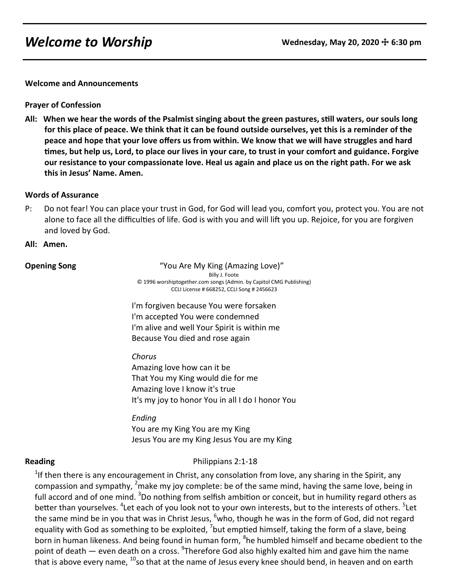# **Welcome to Worship Wednesday, May 20, 2020**  $\pm$  **6:30 pm**

**Welcome and Announcements**

**Prayer of Confession** 

**All: When we hear the words of the Psalmist singing about the green pastures, still waters, our souls long for this place of peace. We think that it can be found outside ourselves, yet this is a reminder of the peace and hope that your love offers us from within. We know that we will have struggles and hard times, but help us, Lord, to place our lives in your care, to trust in your comfort and guidance. Forgive our resistance to your compassionate love. Heal us again and place us on the right path. For we ask this in Jesus' Name. Amen.**

### **Words of Assurance**

P: Do not fear! You can place your trust in God, for God will lead you, comfort you, protect you. You are not alone to face all the difficulties of life. God is with you and will lift you up. Rejoice, for you are forgiven and loved by God.

### **All: Amen.**

**Opening Song** The Term of The Wandale Coven Type Are My King (Amazing Love)" Billy J. Foote © 1996 worshiptogether.com songs (Admin. by Capitol CMG Publishing) CCLI License # 668252, CCLI Song # 2456623

> I'm forgiven because You were forsaken I'm accepted You were condemned I'm alive and well Your Spirit is within me Because You died and rose again

*Chorus* 

Amazing love how can it be That You my King would die for me Amazing love I know it's true It's my joy to honor You in all I do I honor You

*Ending* You are my King You are my King Jesus You are my King Jesus You are my King

### **Reading**  Philippians 2:1-18

 $^{1}$ If then there is any encouragement in Christ, any consolation from love, any sharing in the Spirit, any compassion and sympathy, <sup>2</sup>make my joy complete: be of the same mind, having the same love, being in full accord and of one mind. <sup>3</sup>Do nothing from selfish ambition or conceit, but in humility regard others as better than yourselves. <sup>4</sup>Let each of you look not to your own interests, but to the interests of others. <sup>5</sup>Let the same mind be in you that was in Christ Jesus,  $6$ who, though he was in the form of God, did not regard equality with God as something to be exploited, <sup>7</sup>but emptied himself, taking the form of a slave, being born in human likeness. And being found in human form, <sup>8</sup>he humbled himself and became obedient to the point of death — even death on a cross. <sup>9</sup>Therefore God also highly exalted him and gave him the name that is above every name.  $^{10}$ so that at the name of Jesus every knee should bend, in heaven and on earth